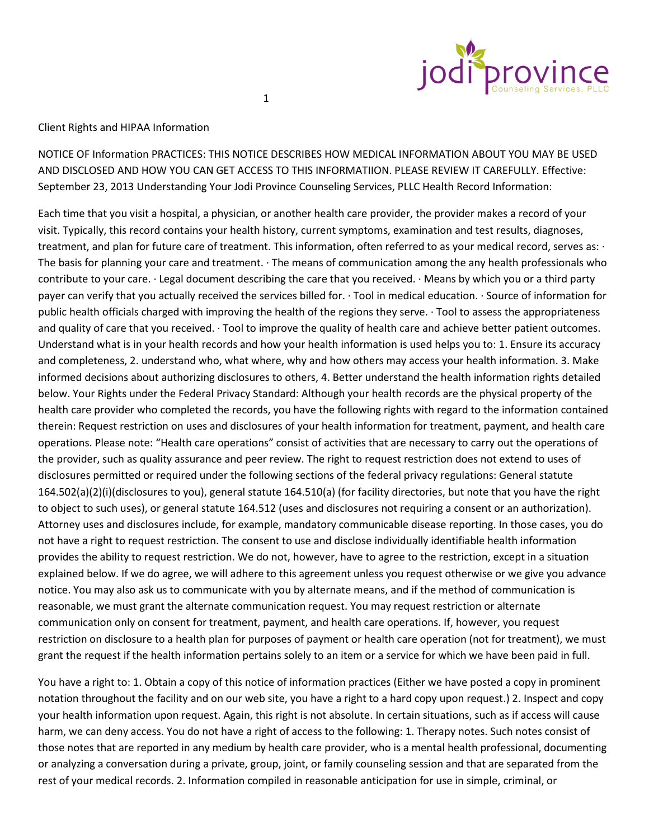

## Client Rights and HIPAA Information

NOTICE OF Information PRACTICES: THIS NOTICE DESCRIBES HOW MEDICAL INFORMATION ABOUT YOU MAY BE USED AND DISCLOSED AND HOW YOU CAN GET ACCESS TO THIS INFORMATIION. PLEASE REVIEW IT CAREFULLY. Effective: September 23, 2013 Understanding Your Jodi Province Counseling Services, PLLC Health Record Information:

1

Each time that you visit a hospital, a physician, or another health care provider, the provider makes a record of your visit. Typically, this record contains your health history, current symptoms, examination and test results, diagnoses, treatment, and plan for future care of treatment. This information, often referred to as your medical record, serves as: · The basis for planning your care and treatment. · The means of communication among the any health professionals who contribute to your care. · Legal document describing the care that you received. · Means by which you or a third party payer can verify that you actually received the services billed for. · Tool in medical education. · Source of information for public health officials charged with improving the health of the regions they serve. · Tool to assess the appropriateness and quality of care that you received. · Tool to improve the quality of health care and achieve better patient outcomes. Understand what is in your health records and how your health information is used helps you to: 1. Ensure its accuracy and completeness, 2. understand who, what where, why and how others may access your health information. 3. Make informed decisions about authorizing disclosures to others, 4. Better understand the health information rights detailed below. Your Rights under the Federal Privacy Standard: Although your health records are the physical property of the health care provider who completed the records, you have the following rights with regard to the information contained therein: Request restriction on uses and disclosures of your health information for treatment, payment, and health care operations. Please note: "Health care operations" consist of activities that are necessary to carry out the operations of the provider, such as quality assurance and peer review. The right to request restriction does not extend to uses of disclosures permitted or required under the following sections of the federal privacy regulations: General statute 164.502(a)(2)(i)(disclosures to you), general statute 164.510(a) (for facility directories, but note that you have the right to object to such uses), or general statute 164.512 (uses and disclosures not requiring a consent or an authorization). Attorney uses and disclosures include, for example, mandatory communicable disease reporting. In those cases, you do not have a right to request restriction. The consent to use and disclose individually identifiable health information provides the ability to request restriction. We do not, however, have to agree to the restriction, except in a situation explained below. If we do agree, we will adhere to this agreement unless you request otherwise or we give you advance notice. You may also ask us to communicate with you by alternate means, and if the method of communication is reasonable, we must grant the alternate communication request. You may request restriction or alternate communication only on consent for treatment, payment, and health care operations. If, however, you request restriction on disclosure to a health plan for purposes of payment or health care operation (not for treatment), we must grant the request if the health information pertains solely to an item or a service for which we have been paid in full.

You have a right to: 1. Obtain a copy of this notice of information practices (Either we have posted a copy in prominent notation throughout the facility and on our web site, you have a right to a hard copy upon request.) 2. Inspect and copy your health information upon request. Again, this right is not absolute. In certain situations, such as if access will cause harm, we can deny access. You do not have a right of access to the following: 1. Therapy notes. Such notes consist of those notes that are reported in any medium by health care provider, who is a mental health professional, documenting or analyzing a conversation during a private, group, joint, or family counseling session and that are separated from the rest of your medical records. 2. Information compiled in reasonable anticipation for use in simple, criminal, or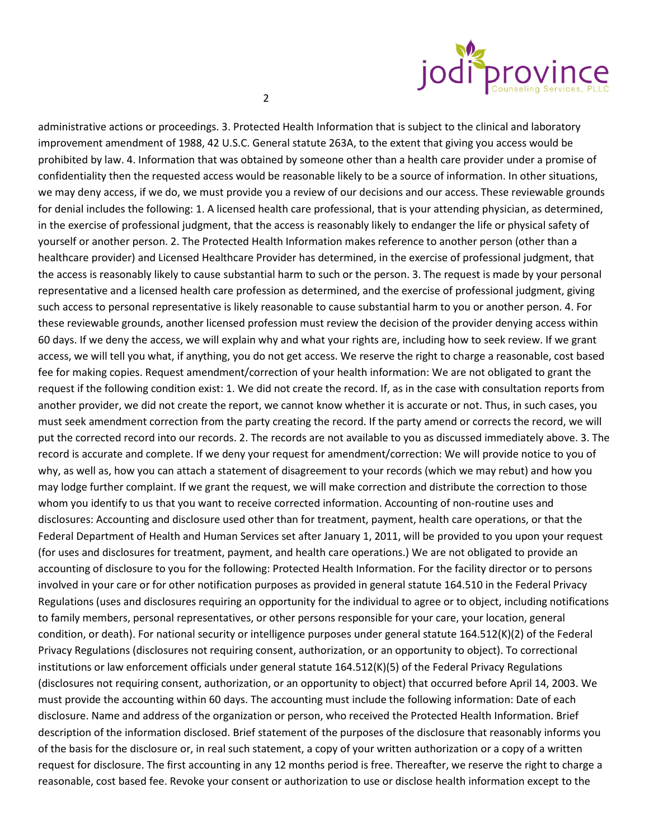

administrative actions or proceedings. 3. Protected Health Information that is subject to the clinical and laboratory improvement amendment of 1988, 42 U.S.C. General statute 263A, to the extent that giving you access would be prohibited by law. 4. Information that was obtained by someone other than a health care provider under a promise of confidentiality then the requested access would be reasonable likely to be a source of information. In other situations, we may deny access, if we do, we must provide you a review of our decisions and our access. These reviewable grounds for denial includes the following: 1. A licensed health care professional, that is your attending physician, as determined, in the exercise of professional judgment, that the access is reasonably likely to endanger the life or physical safety of yourself or another person. 2. The Protected Health Information makes reference to another person (other than a healthcare provider) and Licensed Healthcare Provider has determined, in the exercise of professional judgment, that the access is reasonably likely to cause substantial harm to such or the person. 3. The request is made by your personal representative and a licensed health care profession as determined, and the exercise of professional judgment, giving such access to personal representative is likely reasonable to cause substantial harm to you or another person. 4. For these reviewable grounds, another licensed profession must review the decision of the provider denying access within 60 days. If we deny the access, we will explain why and what your rights are, including how to seek review. If we grant access, we will tell you what, if anything, you do not get access. We reserve the right to charge a reasonable, cost based fee for making copies. Request amendment/correction of your health information: We are not obligated to grant the request if the following condition exist: 1. We did not create the record. If, as in the case with consultation reports from another provider, we did not create the report, we cannot know whether it is accurate or not. Thus, in such cases, you must seek amendment correction from the party creating the record. If the party amend or corrects the record, we will put the corrected record into our records. 2. The records are not available to you as discussed immediately above. 3. The record is accurate and complete. If we deny your request for amendment/correction: We will provide notice to you of why, as well as, how you can attach a statement of disagreement to your records (which we may rebut) and how you may lodge further complaint. If we grant the request, we will make correction and distribute the correction to those whom you identify to us that you want to receive corrected information. Accounting of non-routine uses and disclosures: Accounting and disclosure used other than for treatment, payment, health care operations, or that the Federal Department of Health and Human Services set after January 1, 2011, will be provided to you upon your request (for uses and disclosures for treatment, payment, and health care operations.) We are not obligated to provide an accounting of disclosure to you for the following: Protected Health Information. For the facility director or to persons involved in your care or for other notification purposes as provided in general statute 164.510 in the Federal Privacy Regulations (uses and disclosures requiring an opportunity for the individual to agree or to object, including notifications to family members, personal representatives, or other persons responsible for your care, your location, general condition, or death). For national security or intelligence purposes under general statute 164.512(K)(2) of the Federal Privacy Regulations (disclosures not requiring consent, authorization, or an opportunity to object). To correctional institutions or law enforcement officials under general statute 164.512(K)(5) of the Federal Privacy Regulations (disclosures not requiring consent, authorization, or an opportunity to object) that occurred before April 14, 2003. We must provide the accounting within 60 days. The accounting must include the following information: Date of each disclosure. Name and address of the organization or person, who received the Protected Health Information. Brief description of the information disclosed. Brief statement of the purposes of the disclosure that reasonably informs you of the basis for the disclosure or, in real such statement, a copy of your written authorization or a copy of a written request for disclosure. The first accounting in any 12 months period is free. Thereafter, we reserve the right to charge a reasonable, cost based fee. Revoke your consent or authorization to use or disclose health information except to the

2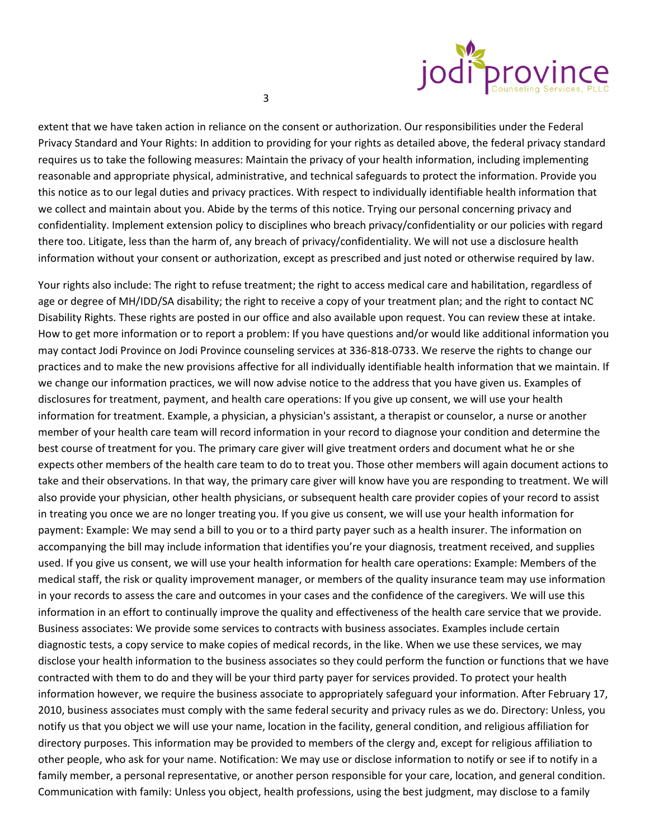

extent that we have taken action in reliance on the consent or authorization. Our responsibilities under the Federal Privacy Standard and Your Rights: In addition to providing for your rights as detailed above, the federal privacy standard requires us to take the following measures: Maintain the privacy of your health information, including implementing reasonable and appropriate physical, administrative, and technical safeguards to protect the information. Provide you this notice as to our legal duties and privacy practices. With respect to individually identifiable health information that we collect and maintain about you. Abide by the terms of this notice. Trying our personal concerning privacy and confidentiality. Implement extension policy to disciplines who breach privacy/confidentiality or our policies with regard there too. Litigate, less than the harm of, any breach of privacy/confidentiality. We will not use a disclosure health information without your consent or authorization, except as prescribed and just noted or otherwise required by law.

Your rights also include: The right to refuse treatment; the right to access medical care and habilitation, regardless of age or degree of MH/IDD/SA disability; the right to receive a copy of your treatment plan; and the right to contact NC Disability Rights. These rights are posted in our office and also available upon request. You can review these at intake. How to get more information or to report a problem: If you have questions and/or would like additional information you may contact Jodi Province on Jodi Province counseling services at 336-818-0733. We reserve the rights to change our practices and to make the new provisions affective for all individually identifiable health information that we maintain. If we change our information practices, we will now advise notice to the address that you have given us. Examples of disclosures for treatment, payment, and health care operations: If you give up consent, we will use your health information for treatment. Example, a physician, a physician's assistant, a therapist or counselor, a nurse or another member of your health care team will record information in your record to diagnose your condition and determine the best course of treatment for you. The primary care giver will give treatment orders and document what he or she expects other members of the health care team to do to treat you. Those other members will again document actions to take and their observations. In that way, the primary care giver will know have you are responding to treatment. We will also provide your physician, other health physicians, or subsequent health care provider copies of your record to assist in treating you once we are no longer treating you. If you give us consent, we will use your health information for payment: Example: We may send a bill to you or to a third party payer such as a health insurer. The information on accompanying the bill may include information that identifies you're your diagnosis, treatment received, and supplies used. If you give us consent, we will use your health information for health care operations: Example: Members of the medical staff, the risk or quality improvement manager, or members of the quality insurance team may use information in your records to assess the care and outcomes in your cases and the confidence of the caregivers. We will use this information in an effort to continually improve the quality and effectiveness of the health care service that we provide. Business associates: We provide some services to contracts with business associates. Examples include certain diagnostic tests, a copy service to make copies of medical records, in the like. When we use these services, we may disclose your health information to the business associates so they could perform the function or functions that we have contracted with them to do and they will be your third party payer for services provided. To protect your health information however, we require the business associate to appropriately safeguard your information. After February 17, 2010, business associates must comply with the same federal security and privacy rules as we do. Directory: Unless, you notify us that you object we will use your name, location in the facility, general condition, and religious affiliation for directory purposes. This information may be provided to members of the clergy and, except for religious affiliation to other people, who ask for your name. Notification: We may use or disclose information to notify or see if to notify in a family member, a personal representative, or another person responsible for your care, location, and general condition. Communication with family: Unless you object, health professions, using the best judgment, may disclose to a family

3